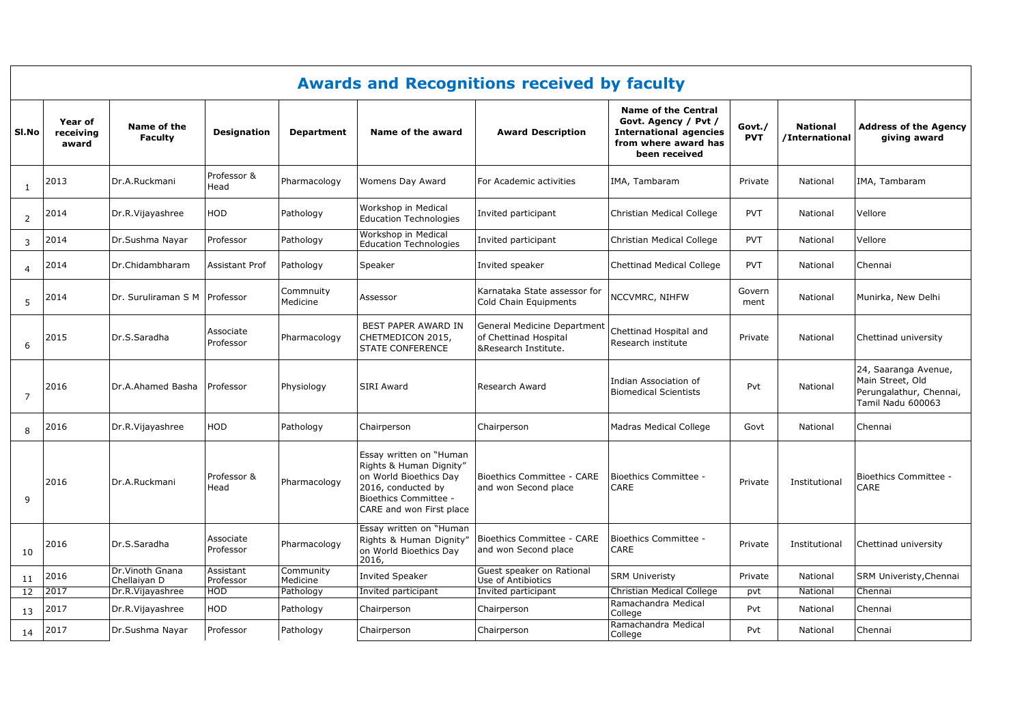|                | <b>Awards and Recognitions received by faculty</b> |                                  |                        |                       |                                                                                                                                                                |                                                                              |                                                                                                                              |                      |                                   |                                                                                          |  |  |
|----------------|----------------------------------------------------|----------------------------------|------------------------|-----------------------|----------------------------------------------------------------------------------------------------------------------------------------------------------------|------------------------------------------------------------------------------|------------------------------------------------------------------------------------------------------------------------------|----------------------|-----------------------------------|------------------------------------------------------------------------------------------|--|--|
| SI.No          | Year of<br>receiving<br>award                      | Name of the<br><b>Faculty</b>    | <b>Designation</b>     | <b>Department</b>     | Name of the award                                                                                                                                              | <b>Award Description</b>                                                     | <b>Name of the Central</b><br>Govt. Agency / Pvt /<br><b>International agencies</b><br>from where award has<br>been received | Govt./<br><b>PVT</b> | <b>National</b><br>/International | <b>Address of the Agency</b><br>giving award                                             |  |  |
| $\mathbf{1}$   | 2013                                               | Dr.A.Ruckmani                    | Professor &<br>Head    | Pharmacology          | Womens Day Award                                                                                                                                               | For Academic activities                                                      | IMA, Tambaram                                                                                                                | Private              | National                          | IMA, Tambaram                                                                            |  |  |
| 2              | 2014                                               | Dr.R.Vijayashree                 | <b>HOD</b>             | Pathology             | Workshop in Medical<br><b>Education Technologies</b>                                                                                                           | Invited participant                                                          | Christian Medical College                                                                                                    | <b>PVT</b>           | National                          | Vellore                                                                                  |  |  |
| 3              | 2014                                               | Dr.Sushma Nayar                  | Professor              | Pathology             | Workshop in Medical<br><b>Education Technologies</b>                                                                                                           | Invited participant                                                          | Christian Medical College                                                                                                    | <b>PVT</b>           | National                          | Vellore                                                                                  |  |  |
| $\overline{4}$ | 2014                                               | Dr.Chidambharam                  | <b>Assistant Prof</b>  | Pathology             | Speaker                                                                                                                                                        | Invited speaker                                                              | <b>Chettinad Medical College</b>                                                                                             | <b>PVT</b>           | National                          | Chennai                                                                                  |  |  |
| 5              | 2014                                               | Dr. Suruliraman S M Professor    |                        | Commnuity<br>Medicine | Assessor                                                                                                                                                       | Karnataka State assessor for<br>Cold Chain Equipments                        | NCCVMRC, NIHFW                                                                                                               | Govern<br>ment       | National                          | Munirka, New Delhi                                                                       |  |  |
| 6              | 2015                                               | Dr.S.Saradha                     | Associate<br>Professor | Pharmacology          | BEST PAPER AWARD IN<br>CHETMEDICON 2015,<br><b>STATE CONFERENCE</b>                                                                                            | General Medicine Department<br>of Chettinad Hospital<br>&Research Institute. | Chettinad Hospital and<br>Research institute                                                                                 | Private              | National                          | Chettinad university                                                                     |  |  |
| $\overline{7}$ | 2016                                               | Dr.A.Ahamed Basha                | Professor              | Physiology            | <b>SIRI Award</b>                                                                                                                                              | Research Award                                                               | Indian Association of<br><b>Biomedical Scientists</b>                                                                        | Pvt                  | National                          | 24, Saaranga Avenue,<br>Main Street, Old<br>Perungalathur, Chennai,<br>Tamil Nadu 600063 |  |  |
| 8              | 2016                                               | Dr.R.Vijayashree                 | HOD                    | Pathology             | Chairperson                                                                                                                                                    | Chairperson                                                                  | Madras Medical College                                                                                                       | Govt                 | National                          | Chennai                                                                                  |  |  |
| 9              | 2016                                               | Dr.A.Ruckmani                    | Professor &<br>Head    | Pharmacology          | Essay written on "Human<br>Rights & Human Dignity"<br>on World Bioethics Day<br>2016, conducted by<br><b>Bioethics Committee -</b><br>CARE and won First place | Bioethics Committee - CARE<br>and won Second place                           | Bioethics Committee -<br>CARE                                                                                                | Private              | Institutional                     | <b>Bioethics Committee -</b><br>CARE                                                     |  |  |
| 10             | 2016                                               | Dr.S.Saradha                     | Associate<br>Professor | Pharmacology          | Essay written on "Human<br>Rights & Human Dignity"<br>on World Bioethics Day<br>2016,                                                                          | Bioethics Committee - CARE<br>and won Second place                           | Bioethics Committee -<br>CARE                                                                                                | Private              | Institutional                     | Chettinad university                                                                     |  |  |
| 11             | 2016                                               | Dr. Vinoth Gnana<br>Chellaivan D | Assistant<br>Professor | Community<br>Medicine | <b>Invited Speaker</b>                                                                                                                                         | Guest speaker on Rational<br>Use of Antibiotics                              | <b>SRM Univeristy</b>                                                                                                        | Private              | National                          | SRM Univeristy, Chennai                                                                  |  |  |
| 12             | 2017                                               | Dr.R.Vijayashree                 | <b>HOD</b>             | Pathology             | Invited participant                                                                                                                                            | Invited participant                                                          | Christian Medical College<br>Ramachandra Medical                                                                             | pvt                  | National                          | Chennai                                                                                  |  |  |
| 13             | 2017                                               | Dr.R.Vijayashree                 | <b>HOD</b>             | Pathology             | Chairperson                                                                                                                                                    | Chairperson                                                                  | College                                                                                                                      | Pvt                  | National                          | Chennai                                                                                  |  |  |
| 14             | 2017                                               | Dr.Sushma Nayar                  | Professor              | Pathology             | Chairperson                                                                                                                                                    | Chairperson                                                                  | Ramachandra Medical<br>College                                                                                               | Pvt                  | National                          | Chennai                                                                                  |  |  |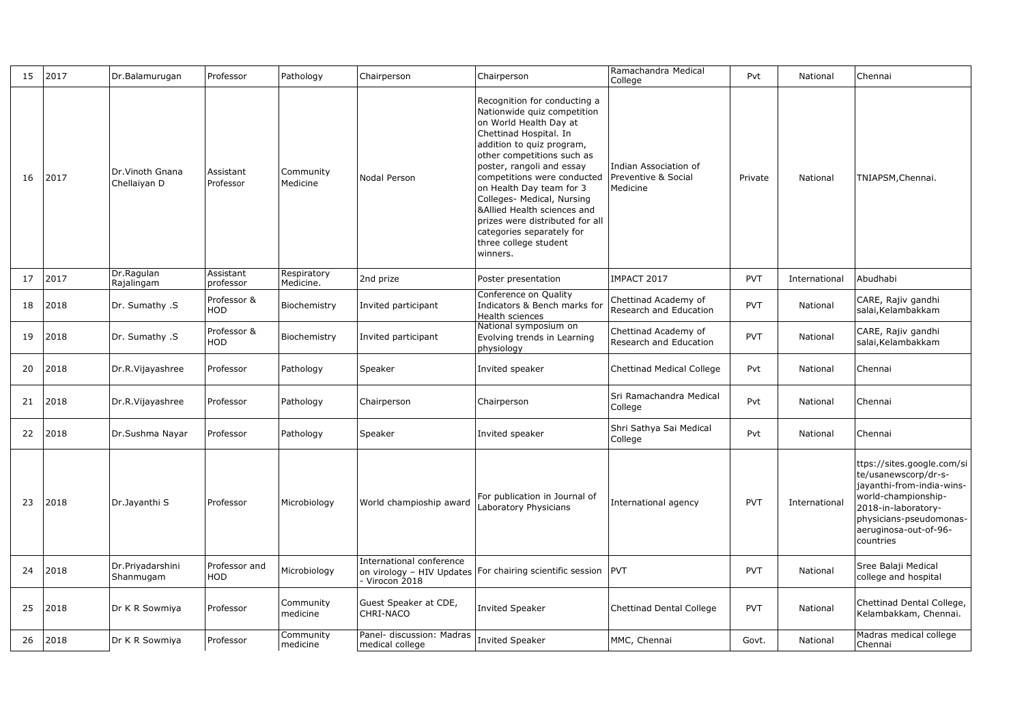| 15 | 2017 | Dr.Balamurugan                   | Professor              | Pathology                | Chairperson                                  | Chairperson                                                                                                                                                                                                                                                                                                                                                                                                                          | Ramachandra Medical<br>College                           | Pvt        | National      | Chennai                                                                                                                                                                                        |
|----|------|----------------------------------|------------------------|--------------------------|----------------------------------------------|--------------------------------------------------------------------------------------------------------------------------------------------------------------------------------------------------------------------------------------------------------------------------------------------------------------------------------------------------------------------------------------------------------------------------------------|----------------------------------------------------------|------------|---------------|------------------------------------------------------------------------------------------------------------------------------------------------------------------------------------------------|
| 16 | 2017 | Dr. Vinoth Gnana<br>Chellaiyan D | Assistant<br>Professor | Community<br>Medicine    | Nodal Person                                 | Recognition for conducting a<br>Nationwide quiz competition<br>on World Health Day at<br>Chettinad Hospital. In<br>addition to quiz program,<br>other competitions such as<br>poster, rangoli and essay<br>competitions were conducted<br>on Health Day team for 3<br>Colleges- Medical, Nursing<br>&Allied Health sciences and<br>prizes were distributed for all<br>categories separately for<br>three college student<br>winners. | Indian Association of<br>Preventive & Social<br>Medicine | Private    | National      | TNIAPSM, Chennai.                                                                                                                                                                              |
| 17 | 2017 | Dr.Ragulan<br>Rajalingam         | Assistant<br>professor | Respiratory<br>Medicine. | 2nd prize                                    | Poster presentation                                                                                                                                                                                                                                                                                                                                                                                                                  | IMPACT 2017                                              | <b>PVT</b> | International | Abudhabi                                                                                                                                                                                       |
| 18 | 2018 | Dr. Sumathy .S                   | Professor &<br>HOD     | Biochemistry             | Invited participant                          | Conference on Quality<br>Indicators & Bench marks for<br>Health sciences                                                                                                                                                                                                                                                                                                                                                             | Chettinad Academy of<br>Research and Education           | <b>PVT</b> | National      | CARE, Rajiv gandhi<br>salai, Kelambakkam                                                                                                                                                       |
| 19 | 2018 | Dr. Sumathy .S                   | Professor &<br>HOD     | Biochemistry             | Invited participant                          | National symposium on<br>Evolving trends in Learning<br>physiology                                                                                                                                                                                                                                                                                                                                                                   | Chettinad Academy of<br>Research and Education           | PVT        | National      | CARE, Rajiv gandhi<br>salai, Kelambakkam                                                                                                                                                       |
| 20 | 2018 | Dr.R.Vijayashree                 | Professor              | Pathology                | Speaker                                      | Invited speaker                                                                                                                                                                                                                                                                                                                                                                                                                      | <b>Chettinad Medical College</b>                         | Pvt        | National      | Chennai                                                                                                                                                                                        |
| 21 | 2018 | Dr.R.Vijayashree                 | Professor              | Pathology                | Chairperson                                  | Chairperson                                                                                                                                                                                                                                                                                                                                                                                                                          | Sri Ramachandra Medical<br>College                       | Pvt        | National      | Chennai                                                                                                                                                                                        |
| 22 | 2018 | Dr.Sushma Nayar                  | Professor              | Pathology                | Speaker                                      | Invited speaker                                                                                                                                                                                                                                                                                                                                                                                                                      | Shri Sathya Sai Medical<br>College                       | Pvt        | National      | Chennai                                                                                                                                                                                        |
| 23 | 2018 | Dr.Jayanthi S                    | Professor              | Microbiology             | World champioship award                      | For publication in Journal of<br>Laboratory Physicians                                                                                                                                                                                                                                                                                                                                                                               | International agency                                     | <b>PVT</b> | International | ttps://sites.google.com/si<br>te/usanewscorp/dr-s-<br>jayanthi-from-india-wins-<br>world-championship-<br>2018-in-laboratory-<br>physicians-pseudomonas-<br>aeruginosa-out-of-96-<br>countries |
| 24 | 2018 | Dr.Priyadarshini<br>Shanmugam    | Professor and<br>HOD   | Microbiology             | International conference<br>- Virocon 2018   | on virology - HIV Updates For chairing scientific session                                                                                                                                                                                                                                                                                                                                                                            | <b>PVT</b>                                               | PVT        | National      | Sree Balaji Medical<br>college and hospital                                                                                                                                                    |
| 25 | 2018 | Dr K R Sowmiya                   | Professor              | Community<br>medicine    | Guest Speaker at CDE,<br>CHRI-NACO           | <b>Invited Speaker</b>                                                                                                                                                                                                                                                                                                                                                                                                               | <b>Chettinad Dental College</b>                          | PVT        | National      | Chettinad Dental College,<br>Kelambakkam, Chennai.                                                                                                                                             |
| 26 | 2018 | Dr K R Sowmiya                   | Professor              | Community<br>medicine    | Panel- discussion: Madras<br>medical college | <b>Invited Speaker</b>                                                                                                                                                                                                                                                                                                                                                                                                               | MMC, Chennai                                             | Govt.      | National      | Madras medical college<br>Chennai                                                                                                                                                              |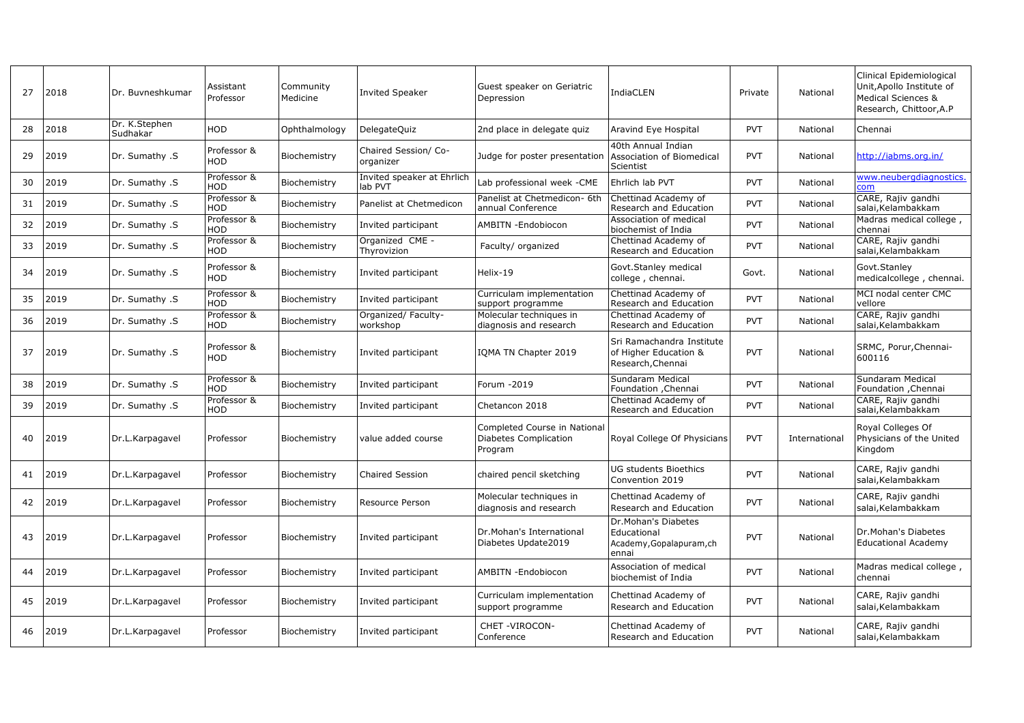| 27 | 2018 | Dr. Buvneshkumar          | Assistant<br>Professor    | Community<br>Medicine | <b>Invited Speaker</b>                | Guest speaker on Geriatric<br>Depression                        | <b>IndiaCLEN</b>                                                        | Private    | National      | Clinical Epidemiological<br>Unit, Apollo Institute of<br>Medical Sciences &<br>Research, Chittoor, A.P |
|----|------|---------------------------|---------------------------|-----------------------|---------------------------------------|-----------------------------------------------------------------|-------------------------------------------------------------------------|------------|---------------|--------------------------------------------------------------------------------------------------------|
| 28 | 2018 | Dr. K.Stephen<br>Sudhakar | <b>HOD</b>                | Ophthalmology         | DelegateQuiz                          | 2nd place in delegate quiz                                      | Aravind Eye Hospital                                                    | <b>PVT</b> | National      | Chennai                                                                                                |
| 29 | 2019 | Dr. Sumathy .S            | Professor &<br>HOD        | Biochemistry          | Chaired Session/ Co-<br>organizer     | Judge for poster presentation                                   | 40th Annual Indian<br>Association of Biomedical<br>Scientist            | <b>PVT</b> | National      | http://iabms.org.in/                                                                                   |
| 30 | 2019 | Dr. Sumathy .S            | Professor &<br>HOD        | Biochemistry          | Invited speaker at Ehrlich<br>lab PVT | ab professional week -CME                                       | Ehrlich lab PVT                                                         | <b>PVT</b> | National      | www.neubergdiagnostics.<br>com                                                                         |
| 31 | 2019 | Dr. Sumathy .S            | Professor &<br><b>HOD</b> | Biochemistry          | Panelist at Chetmedicon               | Panelist at Chetmedicon- 6th<br>annual Conference               | Chettinad Academy of<br>Research and Education                          | <b>PVT</b> | National      | CARE, Rajiv gandhi<br>salai, Kelambakkam                                                               |
| 32 | 2019 | Dr. Sumathy .S            | Professor &<br><b>HOD</b> | Biochemistry          | Invited participant                   | AMBITN -Endobiocon                                              | Association of medical<br>biochemist of India                           | <b>PVT</b> | National      | Madras medical college,<br>chennai                                                                     |
| 33 | 2019 | Dr. Sumathy .S            | Professor &<br><b>HOD</b> | Biochemistry          | Organized CME -<br>Thyrovizion        | Faculty/ organized                                              | Chettinad Academy of<br>Research and Education                          | <b>PVT</b> | National      | CARE, Rajiv gandhi<br>salai, Kelambakkam                                                               |
| 34 | 2019 | Dr. Sumathy .S            | Professor &<br>HOD        | Biochemistry          | Invited participant                   | Helix-19                                                        | Govt.Stanley medical<br>college, chennai.                               | Govt.      | National      | Govt.Stanley<br>medicalcollege, chennai.                                                               |
| 35 | 2019 | Dr. Sumathy .S            | Professor &<br>HOD        | Biochemistry          | Invited participant                   | Curriculam implementation<br>support programme                  | Chettinad Academy of<br>Research and Education                          | <b>PVT</b> | National      | MCI nodal center CMC<br>vellore                                                                        |
| 36 | 2019 | Dr. Sumathy .S            | Professor &<br>HOD        | Biochemistry          | Organized/ Faculty-<br>workshop       | Molecular techniques in<br>diagnosis and research               | Chettinad Academy of<br>Research and Education                          | <b>PVT</b> | National      | CARE, Rajiv gandhi<br>salai, Kelambakkam                                                               |
| 37 | 2019 | Dr. Sumathy .S            | Professor &<br>HOD        | Biochemistry          | Invited participant                   | IQMA TN Chapter 2019                                            | Sri Ramachandra Institute<br>of Higher Education &<br>Research, Chennai | <b>PVT</b> | National      | SRMC, Porur, Chennai-<br>600116                                                                        |
| 38 | 2019 | Dr. Sumathy .S            | Professor &<br>HOD        | Biochemistry          | Invited participant                   | Forum -2019                                                     | Sundaram Medical<br>Foundation , Chennai                                | <b>PVT</b> | National      | Sundaram Medical<br>Foundation , Chennai                                                               |
| 39 | 2019 | Dr. Sumathy .S            | Professor &<br>HOD        | Biochemistry          | Invited participant                   | Chetancon 2018                                                  | Chettinad Academy of<br>Research and Education                          | <b>PVT</b> | National      | CARE, Rajiv gandhi<br>salai, Kelambakkam                                                               |
| 40 | 2019 | Dr.L.Karpagavel           | Professor                 | Biochemistry          | value added course                    | Completed Course in Nationa<br>Diabetes Complication<br>Program | Royal College Of Physicians                                             | <b>PVT</b> | International | Royal Colleges Of<br>Physicians of the United<br>Kingdom                                               |
| 41 | 2019 | Dr.L.Karpagavel           | Professor                 | Biochemistry          | Chaired Session                       | chaired pencil sketching                                        | UG students Bioethics<br>Convention 2019                                | <b>PVT</b> | National      | CARE, Rajiv gandhi<br>salai, Kelambakkam                                                               |
| 42 | 2019 | Dr.L.Karpagavel           | Professor                 | Biochemistry          | Resource Person                       | Molecular techniques in<br>diagnosis and research               | Chettinad Academy of<br>Research and Education                          | <b>PVT</b> | National      | CARE, Rajiv gandhi<br>salai, Kelambakkam                                                               |
| 43 | 2019 | Dr.L.Karpagavel           | Professor                 | Biochemistry          | Invited participant                   | Dr.Mohan's International<br>Diabetes Update2019                 | Dr.Mohan's Diabetes<br>Educational<br>Academy, Gopalapuram, ch<br>ennai | <b>PVT</b> | National      | Dr.Mohan's Diabetes<br><b>Educational Academy</b>                                                      |
| 44 | 2019 | Dr.L.Karpagavel           | Professor                 | Biochemistry          | Invited participant                   | AMBITN -Endobiocon                                              | Association of medical<br>biochemist of India                           | <b>PVT</b> | National      | Madras medical college,<br>chennai                                                                     |
| 45 | 2019 | Dr.L.Karpagavel           | Professor                 | Biochemistry          | Invited participant                   | Curriculam implementation<br>support programme                  | Chettinad Academy of<br>Research and Education                          | <b>PVT</b> | National      | CARE, Rajiv gandhi<br>salai, Kelambakkam                                                               |
| 46 | 2019 | Dr.L.Karpagavel           | Professor                 | Biochemistry          | Invited participant                   | CHET-VIROCON-<br>Conference                                     | Chettinad Academy of<br>Research and Education                          | <b>PVT</b> | National      | CARE, Rajiv gandhi<br>salai, Kelambakkam                                                               |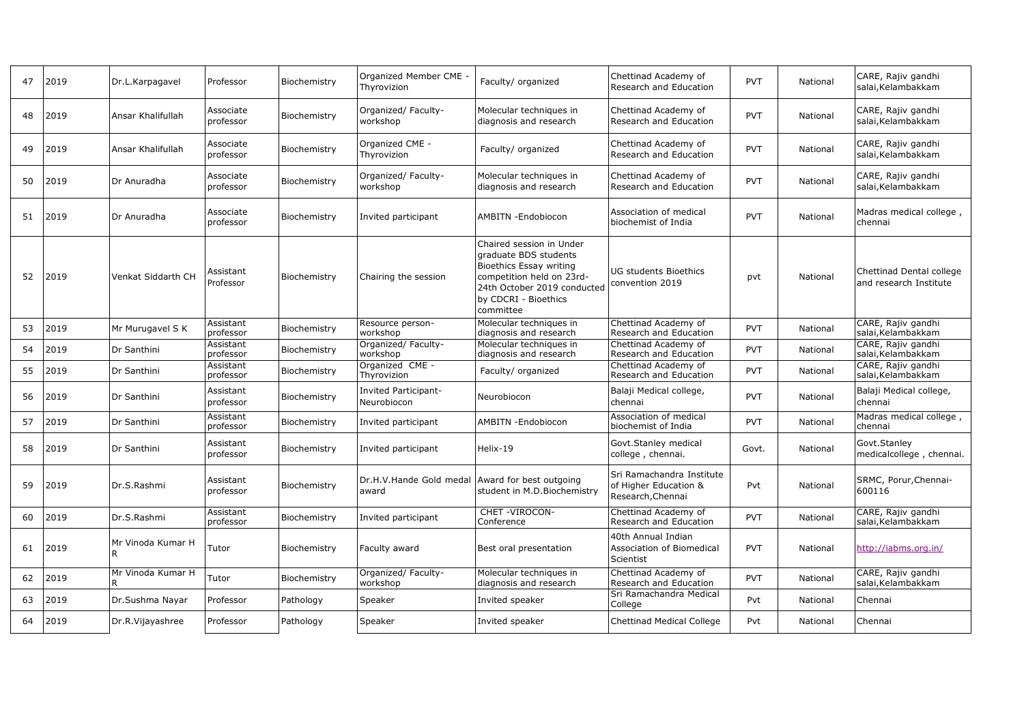| 47 | 2019 | Dr.L.Karpagavel         | Professor              | Biochemistry | Organized Member CME<br>Thyrovizion        | Faculty/ organized                                                                                                                                                            | Chettinad Academy of<br>Research and Education                          | <b>PVT</b> | National | CARE, Rajiv gandhi<br>salai, Kelambakkam           |
|----|------|-------------------------|------------------------|--------------|--------------------------------------------|-------------------------------------------------------------------------------------------------------------------------------------------------------------------------------|-------------------------------------------------------------------------|------------|----------|----------------------------------------------------|
| 48 | 2019 | Ansar Khalifullah       | Associate<br>professor | Biochemistry | Organized/ Faculty-<br>workshop            | Molecular techniques in<br>diagnosis and research                                                                                                                             | Chettinad Academy of<br>Research and Education                          | <b>PVT</b> | National | CARE, Rajiv gandhi<br>salai, Kelambakkam           |
| 49 | 2019 | Ansar Khalifullah       | Associate<br>professor | Biochemistry | Organized CME -<br>Thyrovizion             | Faculty/ organized                                                                                                                                                            | Chettinad Academy of<br>Research and Education                          | <b>PVT</b> | National | CARE, Rajiv gandhi<br>salai, Kelambakkam           |
| 50 | 2019 | Dr Anuradha             | Associate<br>professor | Biochemistry | Organized/ Faculty-<br>workshop            | Molecular techniques in<br>diagnosis and research                                                                                                                             | Chettinad Academy of<br>Research and Education                          | <b>PVT</b> | National | CARE, Rajiv gandhi<br>salai, Kelambakkam           |
| 51 | 2019 | Dr Anuradha             | Associate<br>professor | Biochemistry | Invited participant                        | AMBITN -Endobiocon                                                                                                                                                            | Association of medical<br>biochemist of India                           | <b>PVT</b> | National | Madras medical college,<br>chennai                 |
| 52 | 2019 | Venkat Siddarth CH      | Assistant<br>Professor | Biochemistry | Chairing the session                       | Chaired session in Under<br>graduate BDS students<br>Bioethics Essay writing<br>competition held on 23rd-<br>24th October 2019 conducted<br>by CDCRI - Bioethics<br>committee | UG students Bioethics<br>convention 2019                                | pvt        | National | Chettinad Dental college<br>and research Institute |
| 53 | 2019 | Mr Murugavel S K        | Assistant<br>professor | Biochemistry | Resource person-<br>workshop               | Molecular techniques in<br>diagnosis and research                                                                                                                             | Chettinad Academy of<br>Research and Education                          | <b>PVT</b> | National | CARE, Rajiv gandhi<br>salai, Kelambakkam           |
| 54 | 2019 | Dr Santhini             | Assistant<br>professor | Biochemistry | Organized/ Faculty-<br>workshop            | Molecular techniques in<br>diagnosis and research                                                                                                                             | Chettinad Academy of<br>Research and Education                          | <b>PVT</b> | National | CARE, Rajiv gandhi<br>salai, Kelambakkam           |
| 55 | 2019 | Dr Santhini             | Assistant<br>professor | Biochemistry | Organized CME -<br>Thyrovizion             | Faculty/ organized                                                                                                                                                            | Chettinad Academy of<br>Research and Education                          | <b>PVT</b> | National | CARE, Rajiv gandhi<br>salai, Kelambakkam           |
| 56 | 2019 | Dr Santhini             | Assistant<br>professor | Biochemistry | <b>Invited Participant-</b><br>Neurobiocon | Neurobiocon                                                                                                                                                                   | Balaji Medical college,<br>chennai                                      | <b>PVT</b> | National | Balaji Medical college,<br>chennai                 |
| 57 | 2019 | Dr Santhini             | Assistant<br>professor | Biochemistry | Invited participant                        | AMBITN -Endobiocon                                                                                                                                                            | Association of medical<br>biochemist of India                           | <b>PVT</b> | National | Madras medical college,<br>chennai                 |
| 58 | 2019 | Dr Santhini             | Assistant<br>professor | Biochemistry | Invited participant                        | Helix-19                                                                                                                                                                      | Govt.Stanley medical<br>college, chennai.                               | Govt.      | National | Govt.Stanley<br>medicalcollege, chennai.           |
| 59 | 2019 | Dr.S.Rashmi             | Assistant<br>professor | Biochemistry | Dr.H.V.Hande Gold medal<br>award           | Award for best outgoing<br>student in M.D.Biochemistry                                                                                                                        | Sri Ramachandra Institute<br>of Higher Education &<br>Research, Chennai | Pvt        | National | SRMC, Porur, Chennai-<br>600116                    |
| 60 | 2019 | Dr.S.Rashmi             | Assistant<br>professor | Biochemistry | Invited participant                        | CHET-VIROCON-<br>Conference                                                                                                                                                   | Chettinad Academy of<br>Research and Education                          | <b>PVT</b> | National | CARE, Rajiv gandhi<br>salai, Kelambakkam           |
| 61 | 2019 | Mr Vinoda Kumar H<br>R. | Tutor                  | Biochemistry | Faculty award                              | Best oral presentation                                                                                                                                                        | 40th Annual Indian<br>Association of Biomedical<br>Scientist            | <b>PVT</b> | National | http://iabms.org.in/                               |
| 62 | 2019 | Mr Vinoda Kumar H<br>R  | Tutor                  | Biochemistry | Organized/Faculty-<br>workshop             | Molecular techniques in<br>diagnosis and research                                                                                                                             | Chettinad Academy of<br>Research and Education                          | <b>PVT</b> | National | CARE, Rajiv gandhi<br>salai, Kelambakkam           |
| 63 | 2019 | Dr.Sushma Nayar         | Professor              | Pathology    | Speaker                                    | Invited speaker                                                                                                                                                               | Sri Ramachandra Medical<br>College                                      | Pvt        | National | Chennai                                            |
| 64 | 2019 | Dr.R.Vijayashree        | Professor              | Pathology    | Speaker                                    | Invited speaker                                                                                                                                                               | Chettinad Medical College                                               | Pvt        | National | Chennai                                            |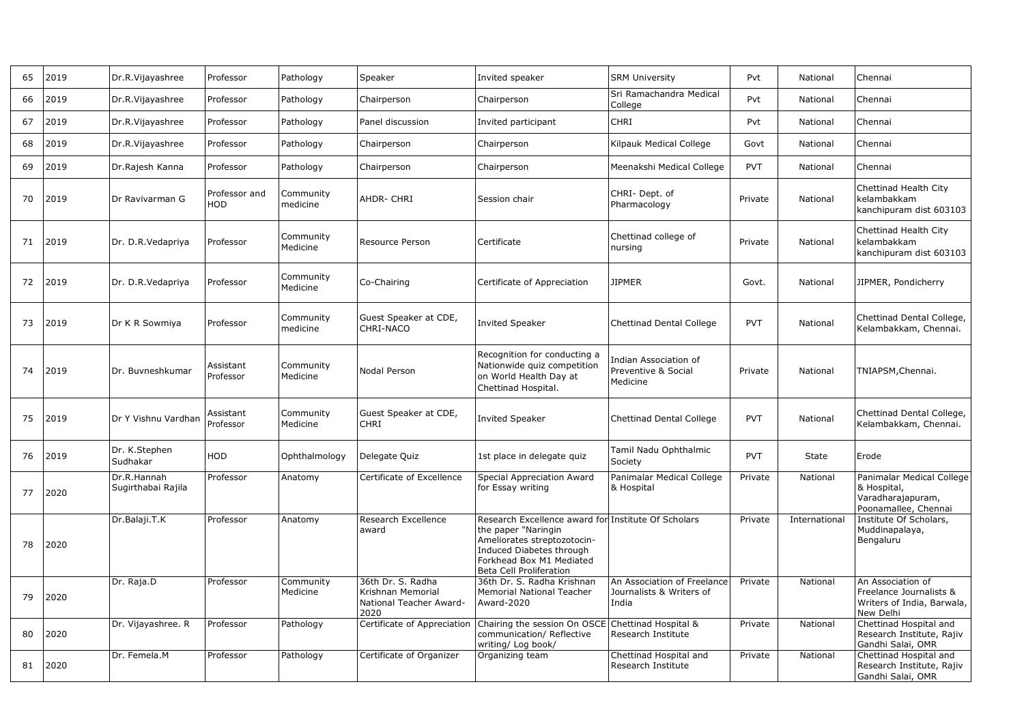| 65 | 2019 | Dr.R.Vijayashree                  | Professor              | Pathology             | Speaker                                                                   | Invited speaker                                                                                                                                                                                     | <b>SRM University</b>                                            | Pvt        | National      | Chennai                                                                                 |
|----|------|-----------------------------------|------------------------|-----------------------|---------------------------------------------------------------------------|-----------------------------------------------------------------------------------------------------------------------------------------------------------------------------------------------------|------------------------------------------------------------------|------------|---------------|-----------------------------------------------------------------------------------------|
| 66 | 2019 | Dr.R.Vijayashree                  | Professor              | Pathology             | Chairperson                                                               | Chairperson                                                                                                                                                                                         | Sri Ramachandra Medical<br>College                               | Pvt        | National      | Chennai                                                                                 |
| 67 | 2019 | Dr.R.Vijayashree                  | Professor              | Pathology             | Panel discussion                                                          | Invited participant                                                                                                                                                                                 | <b>CHRI</b>                                                      | Pvt        | National      | Chennai                                                                                 |
| 68 | 2019 | Dr.R.Vijayashree                  | Professor              | Pathology             | Chairperson                                                               | Chairperson                                                                                                                                                                                         | Kilpauk Medical College                                          | Govt       | National      | Chennai                                                                                 |
| 69 | 2019 | Dr.Rajesh Kanna                   | Professor              | Pathology             | Chairperson                                                               | Chairperson                                                                                                                                                                                         | Meenakshi Medical College                                        | <b>PVT</b> | National      | Chennai                                                                                 |
| 70 | 2019 | Dr Ravivarman G                   | Professor and<br>HOD   | Community<br>medicine | AHDR- CHRI                                                                | Session chair                                                                                                                                                                                       | CHRI-Dept. of<br>Pharmacology                                    | Private    | National      | Chettinad Health City<br>kelambakkam<br>kanchipuram dist 603103                         |
| 71 | 2019 | Dr. D.R.Vedapriya                 | Professor              | Community<br>Medicine | Resource Person                                                           | Certificate                                                                                                                                                                                         | Chettinad college of<br>nursing                                  | Private    | National      | Chettinad Health City<br>kelambakkam<br>kanchipuram dist 603103                         |
| 72 | 2019 | Dr. D.R.Vedapriya                 | Professor              | Community<br>Medicine | Co-Chairing                                                               | Certificate of Appreciation                                                                                                                                                                         | JIPMER                                                           | Govt.      | National      | JIPMER, Pondicherry                                                                     |
| 73 | 2019 | Dr K R Sowmiya                    | Professor              | Community<br>medicine | Guest Speaker at CDE,<br>CHRI-NACO                                        | <b>Invited Speaker</b>                                                                                                                                                                              | <b>Chettinad Dental College</b>                                  | <b>PVT</b> | National      | Chettinad Dental College,<br>Kelambakkam, Chennai.                                      |
| 74 | 2019 | Dr. Buvneshkumar                  | Assistant<br>Professor | Community<br>Medicine | Nodal Person                                                              | Recognition for conducting a<br>Nationwide quiz competition<br>on World Health Day at<br>Chettinad Hospital.                                                                                        | Indian Association of<br>Preventive & Social<br>Medicine         | Private    | National      | TNIAPSM,Chennai.                                                                        |
| 75 | 2019 | Dr Y Vishnu Vardhan               | Assistant<br>Professor | Community<br>Medicine | Guest Speaker at CDE,<br>CHRI                                             | <b>Invited Speaker</b>                                                                                                                                                                              | <b>Chettinad Dental College</b>                                  | <b>PVT</b> | National      | Chettinad Dental College,<br>Kelambakkam, Chennai.                                      |
| 76 | 2019 | Dr. K.Stephen<br>Sudhakar         | HOD                    | Ophthalmology         | Delegate Quiz                                                             | 1st place in delegate quiz                                                                                                                                                                          | Tamil Nadu Ophthalmic<br>Society                                 | <b>PVT</b> | State         | Erode                                                                                   |
| 77 | 2020 | Dr.R.Hannah<br>Sugirthabai Rajila | Professor              | Anatomy               | Certificate of Excellence                                                 | Special Appreciation Award<br>for Essay writing                                                                                                                                                     | Panimalar Medical College<br>& Hospital                          | Private    | National      | Panimalar Medical College<br>& Hospital,<br>Varadharajapuram,<br>Poonamallee, Chennai   |
| 78 | 2020 | Dr.Balaji.T.K                     | Professor              | Anatomy               | Research Excellence<br>award                                              | Research Excellence award for Institute Of Scholars<br>the paper "Naringin<br>Ameliorates streptozotocin-<br>Induced Diabetes through<br>Forkhead Box M1 Mediated<br><b>Beta Cell Proliferation</b> |                                                                  | Private    | International | Institute Of Scholars,<br>Muddinapalaya,<br>Bengaluru                                   |
| 79 | 2020 | Dr. Raja.D                        | Professor              | Community<br>Medicine | 36th Dr. S. Radha<br>Krishnan Memorial<br>National Teacher Award-<br>2020 | 36th Dr. S. Radha Krishnan<br><b>Memorial National Teacher</b><br>Award-2020                                                                                                                        | An Association of Freelance<br>Journalists & Writers of<br>India | Private    | National      | An Association of<br>Freelance Journalists &<br>Writers of India, Barwala,<br>New Delhi |
| 80 | 2020 | Dr. Vijayashree. R                | Professor              | Pathology             | Certificate of Appreciation                                               | Chairing the session On OSCE<br>communication/ Reflective<br>writing/ Log book/                                                                                                                     | Chettinad Hospital &<br>Research Institute                       | Private    | National      | Chettinad Hospital and<br>Research Institute, Rajiv<br>Gandhi Salai, OMR                |
| 81 | 2020 | Dr. Femela.M                      | Professor              | Pathology             | Certificate of Organizer                                                  | Organizing team                                                                                                                                                                                     | Chettinad Hospital and<br>Research Institute                     | Private    | National      | Chettinad Hospital and<br>Research Institute, Rajiv<br>Gandhi Salai, OMR                |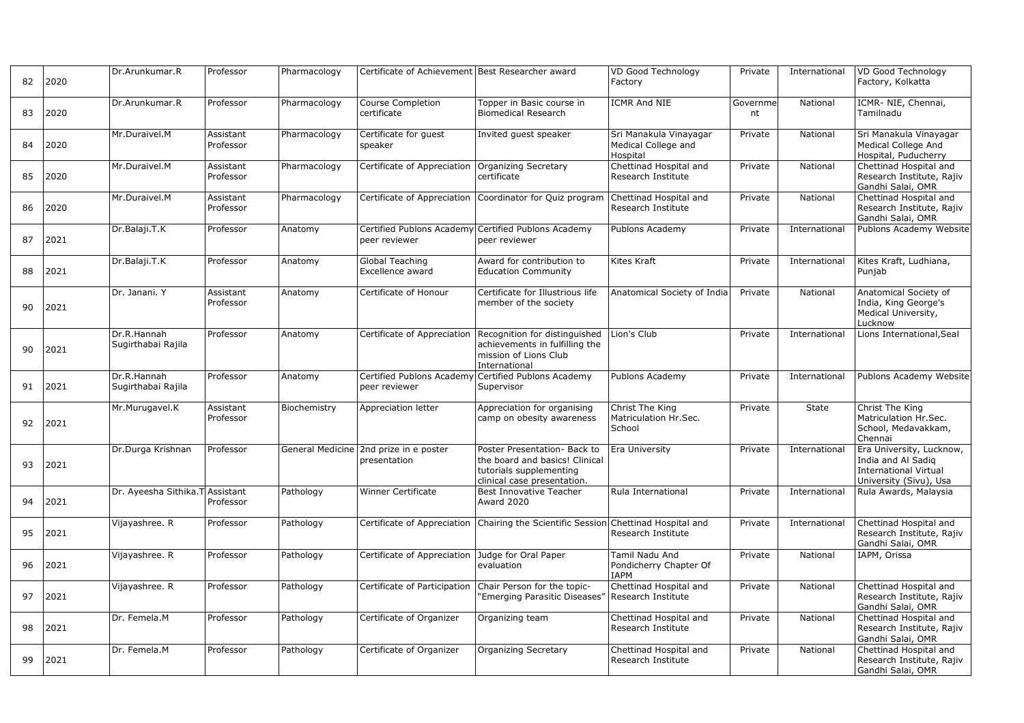| 82 | 2020 | Dr.Arunkumar.R                    | Professor              | Pharmacology | Certificate of Achievement Best Researcher award       |                                                                                                                                       | VD Good Technology<br>Factory                             | Private        | International | VD Good Technology<br>Factory, Kolkatta                                                                  |
|----|------|-----------------------------------|------------------------|--------------|--------------------------------------------------------|---------------------------------------------------------------------------------------------------------------------------------------|-----------------------------------------------------------|----------------|---------------|----------------------------------------------------------------------------------------------------------|
| 83 | 2020 | Dr.Arunkumar.R                    | Professor              | Pharmacology | Course Completion<br>certificate                       | Topper in Basic course in<br><b>Biomedical Research</b>                                                                               | <b>ICMR And NIE</b>                                       | Governme<br>nt | National      | ICMR-NIE, Chennai,<br>Tamilnadu                                                                          |
| 84 | 2020 | Mr.Duraivel.M                     | Assistant<br>Professor | Pharmacology | Certificate for guest<br>speaker                       | Invited guest speaker                                                                                                                 | Sri Manakula Vinayagar<br>Medical College and<br>Hospital | Private        | National      | Sri Manakula Vinayagar<br>Medical College And<br>Hospital, Puducherry                                    |
| 85 | 2020 | Mr.Duraivel.M                     | Assistant<br>Professor | Pharmacology | Certificate of Appreciation Organizing Secretary       | certificate                                                                                                                           | Chettinad Hospital and<br>Research Institute              | Private        | National      | Chettinad Hospital and<br>Research Institute, Rajiv<br>Gandhi Salai, OMR                                 |
| 86 | 2020 | Mr.Duraivel.M                     | Assistant<br>Professor | Pharmacology |                                                        | Certificate of Appreciation Coordinator for Quiz program                                                                              | Chettinad Hospital and<br>Research Institute              | Private        | National      | Chettinad Hospital and<br>Research Institute, Rajiv<br>Gandhi Salai, OMR                                 |
| 87 | 2021 | Dr.Balaji.T.K                     | Professor              | Anatomy      | peer reviewer                                          | Certified Publons Academy Certified Publons Academy<br>peer reviewer                                                                  | Publons Academy                                           | Private        | International | Publons Academy Website                                                                                  |
| 88 | 2021 | Dr.Balaji.T.K                     | Professor              | Anatomy      | Global Teaching<br>Excellence award                    | Award for contribution to<br><b>Education Community</b>                                                                               | Kites Kraft                                               | Private        | International | Kites Kraft, Ludhiana,<br>Punjab                                                                         |
| 90 | 2021 | Dr. Janani. Y                     | Assistant<br>Professor | Anatomy      | Certificate of Honour                                  | Certificate for Illustrious life<br>member of the society                                                                             | Anatomical Society of India                               | Private        | National      | Anatomical Society of<br>India, King George's<br>Medical University,<br>Lucknow                          |
| 90 | 2021 | Dr.R.Hannah<br>Sugirthabai Rajila | Professor              | Anatomy      |                                                        | Certificate of Appreciation Recognition for distinguished<br>achievements in fulfilling the<br>mission of Lions Club<br>International | Lion's Club                                               | Private        | International | Lions International, Seal                                                                                |
| 91 | 2021 | Dr.R.Hannah<br>Sugirthabai Rajila | Professor              | Anatomy      | peer reviewer                                          | Certified Publons Academy Certified Publons Academy<br>Supervisor                                                                     | Publons Academy                                           | Private        | International | Publons Academy Website                                                                                  |
| 92 | 2021 | Mr.Murugavel.K                    | Assistant<br>Professor | Biochemistry | Appreciation letter                                    | Appreciation for organising<br>camp on obesity awareness                                                                              | Christ The King<br>Matriculation Hr.Sec.<br>School        | Private        | State         | Christ The King<br>Matriculation Hr.Sec.<br>School, Medavakkam,<br>Chennai                               |
| 93 | 2021 | Dr.Durga Krishnan                 | Professor              |              | General Medicine 2nd prize in e poster<br>presentation | Poster Presentation- Back to<br>the board and basics! Clinical<br>tutorials supplementing<br>clinical case presentation.              | Era University                                            | Private        | International | Era University, Lucknow,<br>India and Al Sadig<br><b>International Virtual</b><br>University (Sivu), Usa |
| 94 | 2021 | Dr. Ayeesha Sithika.T Assistant   | Professor              | Pathology    | <b>Winner Certificate</b>                              | <b>Best Innovative Teacher</b><br>Award 2020                                                                                          | Rula International                                        | Private        | International | Rula Awards, Malaysia                                                                                    |
| 95 | 2021 | Vijayashree. R                    | Professor              | Pathology    |                                                        | Certificate of Appreciation   Chairing the Scientific Session   Chettinad Hospital and                                                | Research Institute                                        | Private        | International | Chettinad Hospital and<br>Research Institute, Rajiv<br>Gandhi Salai, OMR                                 |
| 96 | 2021 | Vijayashree. R                    | Professor              | Pathology    | Certificate of Appreciation Judge for Oral Paper       | evaluation                                                                                                                            | Tamil Nadu And<br>Pondicherry Chapter Of<br><b>IAPM</b>   | Private        | National      | IAPM, Orissa                                                                                             |
| 97 | 2021 | Vijayashree. R                    | Professor              | Pathology    | Certificate of Participation                           | Chair Person for the topic-<br>'Emerging Parasitic Diseases"                                                                          | Chettinad Hospital and<br>Research Institute              | Private        | National      | Chettinad Hospital and<br>Research Institute, Rajiv<br>Gandhi Salai, OMR                                 |
| 98 | 2021 | Dr. Femela.M                      | Professor              | Pathology    | Certificate of Organizer                               | Organizing team                                                                                                                       | Chettinad Hospital and<br>Research Institute              | Private        | National      | Chettinad Hospital and<br>Research Institute, Rajiv<br>Gandhi Salai, OMR                                 |
| 99 | 2021 | Dr. Femela.M                      | Professor              | Pathology    | Certificate of Organizer                               | <b>Organizing Secretary</b>                                                                                                           | Chettinad Hospital and<br>Research Institute              | Private        | National      | Chettinad Hospital and<br>Research Institute, Rajiv<br>Gandhi Salai, OMR                                 |